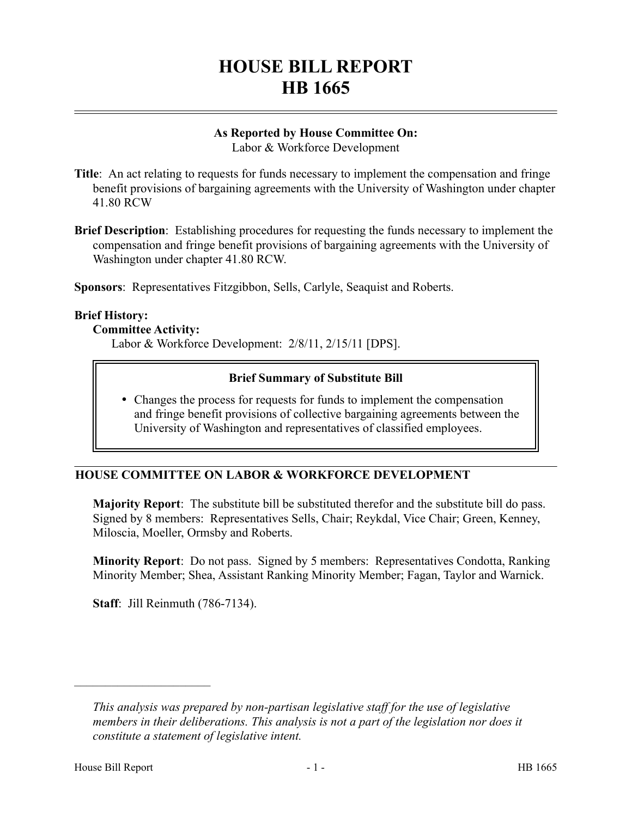# **HOUSE BILL REPORT HB 1665**

# **As Reported by House Committee On:**

Labor & Workforce Development

- **Title**: An act relating to requests for funds necessary to implement the compensation and fringe benefit provisions of bargaining agreements with the University of Washington under chapter 41.80 RCW
- **Brief Description**: Establishing procedures for requesting the funds necessary to implement the compensation and fringe benefit provisions of bargaining agreements with the University of Washington under chapter 41.80 RCW.

**Sponsors**: Representatives Fitzgibbon, Sells, Carlyle, Seaquist and Roberts.

### **Brief History:**

### **Committee Activity:**

Labor & Workforce Development: 2/8/11, 2/15/11 [DPS].

## **Brief Summary of Substitute Bill**

 Changes the process for requests for funds to implement the compensation and fringe benefit provisions of collective bargaining agreements between the University of Washington and representatives of classified employees.

# **HOUSE COMMITTEE ON LABOR & WORKFORCE DEVELOPMENT**

**Majority Report**: The substitute bill be substituted therefor and the substitute bill do pass. Signed by 8 members: Representatives Sells, Chair; Reykdal, Vice Chair; Green, Kenney, Miloscia, Moeller, Ormsby and Roberts.

**Minority Report**: Do not pass. Signed by 5 members: Representatives Condotta, Ranking Minority Member; Shea, Assistant Ranking Minority Member; Fagan, Taylor and Warnick.

**Staff**: Jill Reinmuth (786-7134).

––––––––––––––––––––––

*This analysis was prepared by non-partisan legislative staff for the use of legislative members in their deliberations. This analysis is not a part of the legislation nor does it constitute a statement of legislative intent.*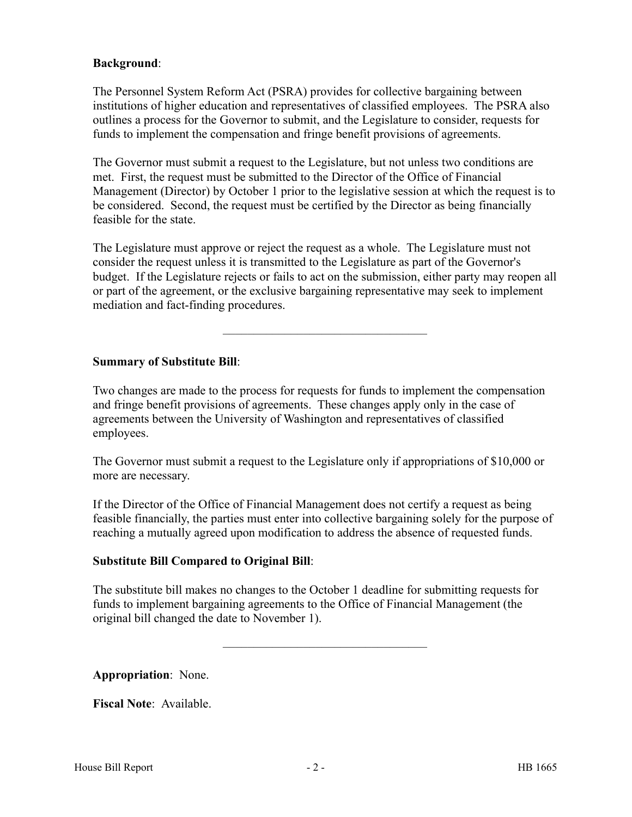## **Background**:

The Personnel System Reform Act (PSRA) provides for collective bargaining between institutions of higher education and representatives of classified employees. The PSRA also outlines a process for the Governor to submit, and the Legislature to consider, requests for funds to implement the compensation and fringe benefit provisions of agreements.

The Governor must submit a request to the Legislature, but not unless two conditions are met. First, the request must be submitted to the Director of the Office of Financial Management (Director) by October 1 prior to the legislative session at which the request is to be considered. Second, the request must be certified by the Director as being financially feasible for the state.

The Legislature must approve or reject the request as a whole. The Legislature must not consider the request unless it is transmitted to the Legislature as part of the Governor's budget. If the Legislature rejects or fails to act on the submission, either party may reopen all or part of the agreement, or the exclusive bargaining representative may seek to implement mediation and fact-finding procedures.

–––––––––––––––––––––––––––––––––

### **Summary of Substitute Bill**:

Two changes are made to the process for requests for funds to implement the compensation and fringe benefit provisions of agreements. These changes apply only in the case of agreements between the University of Washington and representatives of classified employees.

The Governor must submit a request to the Legislature only if appropriations of \$10,000 or more are necessary.

If the Director of the Office of Financial Management does not certify a request as being feasible financially, the parties must enter into collective bargaining solely for the purpose of reaching a mutually agreed upon modification to address the absence of requested funds.

## **Substitute Bill Compared to Original Bill**:

The substitute bill makes no changes to the October 1 deadline for submitting requests for funds to implement bargaining agreements to the Office of Financial Management (the original bill changed the date to November 1).

–––––––––––––––––––––––––––––––––

**Appropriation**: None.

**Fiscal Note**: Available.